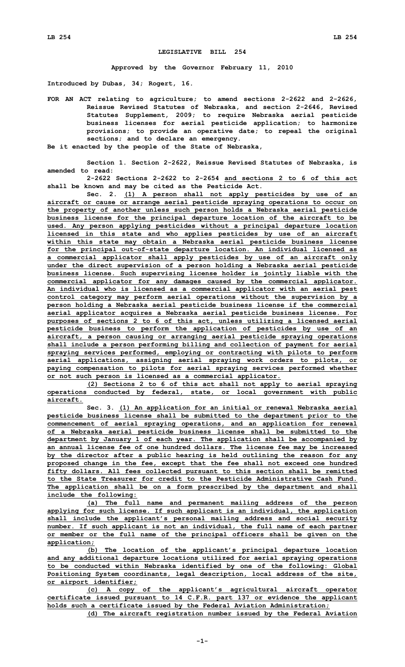## **LEGISLATIVE BILL 254**

**Approved by the Governor February 11, 2010**

**Introduced by Dubas, 34; Rogert, 16.**

- **FOR AN ACT relating to agriculture; to amend sections 2-2622 and 2-2626, Reissue Revised Statutes of Nebraska, and section 2-2646, Revised Statutes Supplement, 2009; to require Nebraska aerial pesticide business licenses for aerial pesticide application; to harmonize provisions; to provide an operative date; to repeal the original sections; and to declare an emergency.**
- **Be it enacted by the people of the State of Nebraska,**

**Section 1. Section 2-2622, Reissue Revised Statutes of Nebraska, is amended to read:**

**2-2622 Sections 2-2622 to 2-2654 and sections 2 to 6 of this act shall be known and may be cited as the Pesticide Act.**

**Sec. 2. (1) <sup>A</sup> person shall not apply pesticides by use of an aircraft or cause or arrange aerial pesticide spraying operations to occur on the property of another unless such person holds <sup>a</sup> Nebraska aerial pesticide business license for the principal departure location of the aircraft to be used. Any person applying pesticides without <sup>a</sup> principal departure location licensed in this state and who applies pesticides by use of an aircraft within this state may obtain <sup>a</sup> Nebraska aerial pesticide business license for the principal out-of-state departure location. An individual licensed as <sup>a</sup> commercial applicator shall apply pesticides by use of an aircraft only under the direct supervision of <sup>a</sup> person holding <sup>a</sup> Nebraska aerial pesticide business license. Such supervising license holder is jointly liable with the commercial applicator for any damages caused by the commercial applicator. An individual who is licensed as <sup>a</sup> commercial applicator with an aerial pest control category may perform aerial operations without the supervision by <sup>a</sup> person holding <sup>a</sup> Nebraska aerial pesticide business license if the commercial aerial applicator acquires <sup>a</sup> Nebraska aerial pesticide business license. For purposes of sections 2 to 6 of this act, unless utilizing <sup>a</sup> licensed aerial pesticide business to perform the application of pesticides by use of an aircraft, <sup>a</sup> person causing or arranging aerial pesticide spraying operations shall include <sup>a</sup> person performing billing and collection of payment for aerial spraying services performed, employing or contracting with pilots to perform aerial applications, assigning aerial spraying work orders to pilots, or paying compensation to pilots for aerial spraying services performed whether or not such person is licensed as <sup>a</sup> commercial applicator.**

**(2) Sections 2 to 6 of this act shall not apply to aerial spraying operations conducted by federal, state, or local government with public aircraft.**

**Sec. 3. (1) An application for an initial or renewal Nebraska aerial pesticide business license shall be submitted to the department prior to the commencement of aerial spraying operations, and an application for renewal of <sup>a</sup> Nebraska aerial pesticide business license shall be submitted to the department by January 1 of each year. The application shall be accompanied by an annual license fee of one hundred dollars. The license fee may be increased by the director after <sup>a</sup> public hearing is held outlining the reason for any proposed change in the fee, except that the fee shall not exceed one hundred fifty dollars. All fees collected pursuant to this section shall be remitted to the State Treasurer for credit to the Pesticide Administrative Cash Fund. The application shall be on <sup>a</sup> form prescribed by the department and shall include the following:**

**(a) The full name and permanent mailing address of the person applying for such license. If such applicant is an individual, the application shall include the applicant's personal mailing address and social security number. If such applicant is not an individual, the full name of each partner or member or the full name of the principal officers shall be given on the application;**

**(b) The location of the applicant's principal departure location and any additional departure locations utilized for aerial spraying operations to be conducted within Nebraska identified by one of the following: Global Positioning System coordinants, legal description, local address of the site, or airport identifier;**

**(c) <sup>A</sup> copy of the applicant's agricultural aircraft operator certificate issued pursuant to 14 C.F.R. part 137 or evidence the applicant holds such <sup>a</sup> certificate issued by the Federal Aviation Administration;**

**(d) The aircraft registration number issued by the Federal Aviation**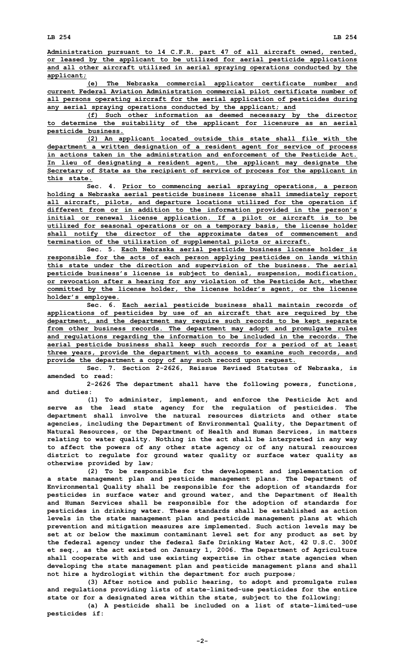**Administration pursuant to 14 C.F.R. part 47 of all aircraft owned, rented, or leased by the applicant to be utilized for aerial pesticide applications and all other aircraft utilized in aerial spraying operations conducted by the applicant;**

**(e) The Nebraska commercial applicator certificate number and current Federal Aviation Administration commercial pilot certificate number of all persons operating aircraft for the aerial application of pesticides during any aerial spraying operations conducted by the applicant; and**

**(f) Such other information as deemed necessary by the director to determine the suitability of the applicant for licensure as an aerial pesticide business.**

**(2) An applicant located outside this state shall file with the department <sup>a</sup> written designation of <sup>a</sup> resident agent for service of process in actions taken in the administration and enforcement of the Pesticide Act. In lieu of designating <sup>a</sup> resident agent, the applicant may designate the Secretary of State as the recipient of service of process for the applicant in this state.**

**Sec. 4. Prior to commencing aerial spraying operations, <sup>a</sup> person holding <sup>a</sup> Nebraska aerial pesticide business license shall immediately report all aircraft, pilots, and departure locations utilized for the operation if different from or in addition to the information provided in the person's initial or renewal license application. If <sup>a</sup> pilot or aircraft is to be utilized for seasonal operations or on <sup>a</sup> temporary basis, the license holder shall notify the director of the approximate dates of commencement and termination of the utilization of supplemental pilots or aircraft.**

**Sec. 5. Each Nebraska aerial pesticide business license holder is responsible for the acts of each person applying pesticides on lands within this state under the direction and supervision of the business. The aerial pesticide business's license is subject to denial, suspension, modification, or revocation after <sup>a</sup> hearing for any violation of the Pesticide Act, whether committed by the license holder, the license holder's agent, or the license holder's employee.**

**Sec. 6. Each aerial pesticide business shall maintain records of applications of pesticides by use of an aircraft that are required by the department, and the department may require such records to be kept separate from other business records. The department may adopt and promulgate rules and regulations regarding the information to be included in the records. The aerial pesticide business shall keep such records for <sup>a</sup> period of at least three years, provide the department with access to examine such records, and provide the department <sup>a</sup> copy of any such record upon request.**

**Sec. 7. Section 2-2626, Reissue Revised Statutes of Nebraska, is amended to read:**

**2-2626 The department shall have the following powers, functions, and duties:**

**(1) To administer, implement, and enforce the Pesticide Act and serve as the lead state agency for the regulation of pesticides. The department shall involve the natural resources districts and other state agencies, including the Department of Environmental Quality, the Department of Natural Resources, or the Department of Health and Human Services, in matters relating to water quality. Nothing in the act shall be interpreted in any way to affect the powers of any other state agency or of any natural resources district to regulate for ground water quality or surface water quality as otherwise provided by law;**

**(2) To be responsible for the development and implementation of <sup>a</sup> state management plan and pesticide management plans. The Department of Environmental Quality shall be responsible for the adoption of standards for pesticides in surface water and ground water, and the Department of Health and Human Services shall be responsible for the adoption of standards for pesticides in drinking water. These standards shall be established as action levels in the state management plan and pesticide management plans at which prevention and mitigation measures are implemented. Such action levels may be set at or below the maximum contaminant level set for any product as set by the federal agency under the federal Safe Drinking Water Act, 42 U.S.C. 300f et seq., as the act existed on January 1, 2006. The Department of Agriculture shall cooperate with and use existing expertise in other state agencies when developing the state management plan and pesticide management plans and shall not hire <sup>a</sup> hydrologist within the department for such purpose;**

**(3) After notice and public hearing, to adopt and promulgate rules and regulations providing lists of state-limited-use pesticides for the entire state or for <sup>a</sup> designated area within the state, subject to the following:**

**(a) <sup>A</sup> pesticide shall be included on <sup>a</sup> list of state-limited-use pesticides if:**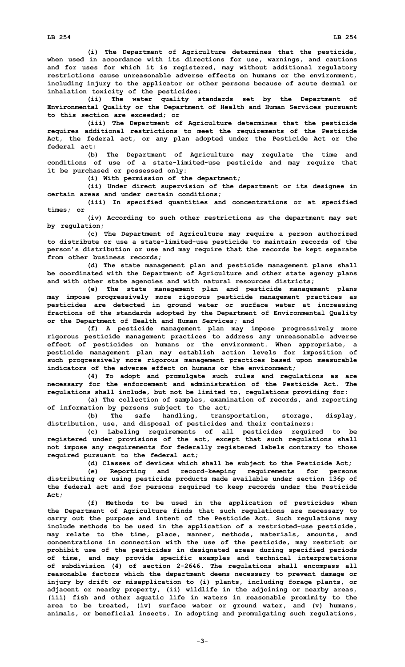**(i) The Department of Agriculture determines that the pesticide, when used in accordance with its directions for use, warnings, and cautions and for uses for which it is registered, may without additional regulatory restrictions cause unreasonable adverse effects on humans or the environment, including injury to the applicator or other persons because of acute dermal or inhalation toxicity of the pesticides;**

**(ii) The water quality standards set by the Department of Environmental Quality or the Department of Health and Human Services pursuant to this section are exceeded; or**

**(iii) The Department of Agriculture determines that the pesticide requires additional restrictions to meet the requirements of the Pesticide Act, the federal act, or any plan adopted under the Pesticide Act or the federal act;**

**(b) The Department of Agriculture may regulate the time and conditions of use of <sup>a</sup> state-limited-use pesticide and may require that it be purchased or possessed only:**

**(i) With permission of the department;**

**(ii) Under direct supervision of the department or its designee in certain areas and under certain conditions;**

**(iii) In specified quantities and concentrations or at specified times; or**

**(iv) According to such other restrictions as the department may set by regulation;**

**(c) The Department of Agriculture may require <sup>a</sup> person authorized to distribute or use <sup>a</sup> state-limited-use pesticide to maintain records of the person's distribution or use and may require that the records be kept separate from other business records;**

**(d) The state management plan and pesticide management plans shall be coordinated with the Department of Agriculture and other state agency plans and with other state agencies and with natural resources districts;**

**(e) The state management plan and pesticide management plans may impose progressively more rigorous pesticide management practices as pesticides are detected in ground water or surface water at increasing fractions of the standards adopted by the Department of Environmental Quality or the Department of Health and Human Services; and**

**(f) <sup>A</sup> pesticide management plan may impose progressively more rigorous pesticide management practices to address any unreasonable adverse effect of pesticides on humans or the environment. When appropriate, <sup>a</sup> pesticide management plan may establish action levels for imposition of such progressively more rigorous management practices based upon measurable indicators of the adverse effect on humans or the environment;**

**(4) To adopt and promulgate such rules and regulations as are necessary for the enforcement and administration of the Pesticide Act. The regulations shall include, but not be limited to, regulations providing for:**

**(a) The collection of samples, examination of records, and reporting of information by persons subject to the act;**

**(b) The safe handling, transportation, storage, display, distribution, use, and disposal of pesticides and their containers;**

**(c) Labeling requirements of all pesticides required to be registered under provisions of the act, except that such regulations shall not impose any requirements for federally registered labels contrary to those required pursuant to the federal act;**

**(d) Classes of devices which shall be subject to the Pesticide Act;**

**(e) Reporting and record-keeping requirements for persons distributing or using pesticide products made available under section 136p of the federal act and for persons required to keep records under the Pesticide Act;**

**(f) Methods to be used in the application of pesticides when the Department of Agriculture finds that such regulations are necessary to carry out the purpose and intent of the Pesticide Act. Such regulations may include methods to be used in the application of <sup>a</sup> restricted-use pesticide, may relate to the time, place, manner, methods, materials, amounts, and concentrations in connection with the use of the pesticide, may restrict or prohibit use of the pesticides in designated areas during specified periods of time, and may provide specific examples and technical interpretations of subdivision (4) of section 2-2646. The regulations shall encompass all reasonable factors which the department deems necessary to prevent damage or injury by drift or misapplication to (i) plants, including forage plants, or adjacent or nearby property, (ii) wildlife in the adjoining or nearby areas, (iii) fish and other aquatic life in waters in reasonable proximity to the area to be treated, (iv) surface water or ground water, and (v) humans, animals, or beneficial insects. In adopting and promulgating such regulations,**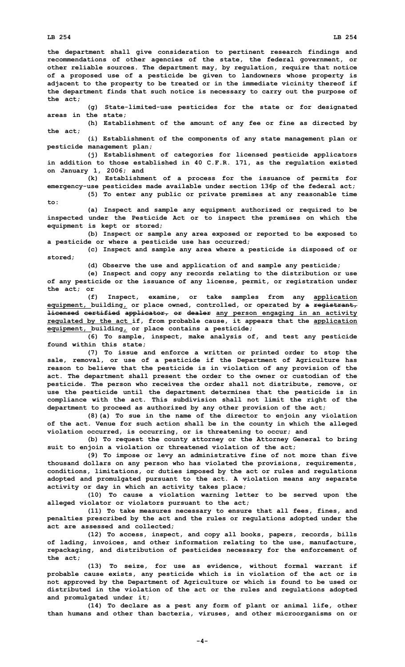**to:**

**the department shall give consideration to pertinent research findings and**

**recommendations of other agencies of the state, the federal government, or other reliable sources. The department may, by regulation, require that notice of <sup>a</sup> proposed use of <sup>a</sup> pesticide be given to landowners whose property is adjacent to the property to be treated or in the immediate vicinity thereof if the department finds that such notice is necessary to carry out the purpose of the act;**

**(g) State-limited-use pesticides for the state or for designated areas in the state;**

**(h) Establishment of the amount of any fee or fine as directed by the act;**

**(i) Establishment of the components of any state management plan or pesticide management plan;**

**(j) Establishment of categories for licensed pesticide applicators in addition to those established in 40 C.F.R. 171, as the regulation existed on January 1, 2006; and**

**(k) Establishment of <sup>a</sup> process for the issuance of permits for emergency-use pesticides made available under section 136p of the federal act;**

**(5) To enter any public or private premises at any reasonable time**

**(a) Inspect and sample any equipment authorized or required to be inspected under the Pesticide Act or to inspect the premises on which the equipment is kept or stored;**

**(b) Inspect or sample any area exposed or reported to be exposed to <sup>a</sup> pesticide or where <sup>a</sup> pesticide use has occurred;**

**(c) Inspect and sample any area where <sup>a</sup> pesticide is disposed of or stored;**

**(d) Observe the use and application of and sample any pesticide;**

**(e) Inspect and copy any records relating to the distribution or use of any pesticide or the issuance of any license, permit, or registration under the act; or**

**(f) Inspect, examine, or take samples from any application equipment, building, or place owned, controlled, or operated by <sup>a</sup> registrant, licensed certified applicator, or dealer any person engaging in an activity regulated by the act if, from probable cause, it appears that the application equipment, building, or place contains <sup>a</sup> pesticide;**

**(6) To sample, inspect, make analysis of, and test any pesticide found within this state;**

**(7) To issue and enforce <sup>a</sup> written or printed order to stop the sale, removal, or use of <sup>a</sup> pesticide if the Department of Agriculture has reason to believe that the pesticide is in violation of any provision of the act. The department shall present the order to the owner or custodian of the pesticide. The person who receives the order shall not distribute, remove, or use the pesticide until the department determines that the pesticide is in compliance with the act. This subdivision shall not limit the right of the department to proceed as authorized by any other provision of the act;**

**(8)(a) To sue in the name of the director to enjoin any violation of the act. Venue for such action shall be in the county in which the alleged violation occurred, is occurring, or is threatening to occur; and**

**(b) To request the county attorney or the Attorney General to bring suit to enjoin <sup>a</sup> violation or threatened violation of the act;**

**(9) To impose or levy an administrative fine of not more than five thousand dollars on any person who has violated the provisions, requirements, conditions, limitations, or duties imposed by the act or rules and regulations adopted and promulgated pursuant to the act. A violation means any separate activity or day in which an activity takes place;**

**(10) To cause <sup>a</sup> violation warning letter to be served upon the alleged violator or violators pursuant to the act;**

**(11) To take measures necessary to ensure that all fees, fines, and penalties prescribed by the act and the rules or regulations adopted under the act are assessed and collected;**

**(12) To access, inspect, and copy all books, papers, records, bills of lading, invoices, and other information relating to the use, manufacture, repackaging, and distribution of pesticides necessary for the enforcement of the act;**

**(13) To seize, for use as evidence, without formal warrant if probable cause exists, any pesticide which is in violation of the act or is not approved by the Department of Agriculture or which is found to be used or distributed in the violation of the act or the rules and regulations adopted and promulgated under it;**

**(14) To declare as <sup>a</sup> pest any form of plant or animal life, other than humans and other than bacteria, viruses, and other microorganisms on or**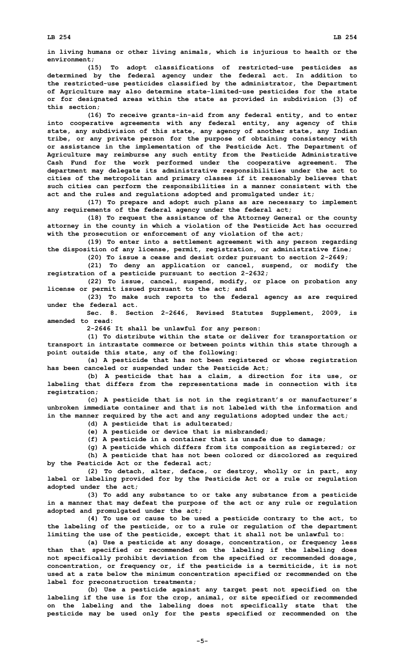**(15) To adopt classifications of restricted-use pesticides as determined by the federal agency under the federal act. In addition to the restricted-use pesticides classified by the administrator, the Department of Agriculture may also determine state-limited-use pesticides for the state or for designated areas within the state as provided in subdivision (3) of this section;**

**(16) To receive grants-in-aid from any federal entity, and to enter into cooperative agreements with any federal entity, any agency of this state, any subdivision of this state, any agency of another state, any Indian tribe, or any private person for the purpose of obtaining consistency with or assistance in the implementation of the Pesticide Act. The Department of Agriculture may reimburse any such entity from the Pesticide Administrative Cash Fund for the work performed under the cooperative agreement. The department may delegate its administrative responsibilities under the act to cities of the metropolitan and primary classes if it reasonably believes that such cities can perform the responsibilities in <sup>a</sup> manner consistent with the act and the rules and regulations adopted and promulgated under it;**

**(17) To prepare and adopt such plans as are necessary to implement any requirements of the federal agency under the federal act;**

**(18) To request the assistance of the Attorney General or the county attorney in the county in which <sup>a</sup> violation of the Pesticide Act has occurred with the prosecution or enforcement of any violation of the act;**

**(19) To enter into <sup>a</sup> settlement agreement with any person regarding the disposition of any license, permit, registration, or administrative fine;**

**(20) To issue <sup>a</sup> cease and desist order pursuant to section 2-2649;**

**(21) To deny an application or cancel, suspend, or modify the registration of <sup>a</sup> pesticide pursuant to section 2-2632;**

**(22) To issue, cancel, suspend, modify, or place on probation any license or permit issued pursuant to the act; and**

**(23) To make such reports to the federal agency as are required under the federal act.**

**Sec. 8. Section 2-2646, Revised Statutes Supplement, 2009, is amended to read:**

**2-2646 It shall be unlawful for any person:**

**(1) To distribute within the state or deliver for transportation or transport in intrastate commerce or between points within this state through <sup>a</sup> point outside this state, any of the following:**

**(a) <sup>A</sup> pesticide that has not been registered or whose registration has been canceled or suspended under the Pesticide Act;**

**(b) <sup>A</sup> pesticide that has <sup>a</sup> claim, <sup>a</sup> direction for its use, or labeling that differs from the representations made in connection with its registration;**

**(c) <sup>A</sup> pesticide that is not in the registrant's or manufacturer's unbroken immediate container and that is not labeled with the information and in the manner required by the act and any regulations adopted under the act;**

**(d) <sup>A</sup> pesticide that is adulterated;**

**(e) <sup>A</sup> pesticide or device that is misbranded;**

**(f) <sup>A</sup> pesticide in <sup>a</sup> container that is unsafe due to damage;**

**(g) <sup>A</sup> pesticide which differs from its composition as registered; or**

**(h) <sup>A</sup> pesticide that has not been colored or discolored as required by the Pesticide Act or the federal act;**

**(2) To detach, alter, deface, or destroy, wholly or in part, any label or labeling provided for by the Pesticide Act or <sup>a</sup> rule or regulation adopted under the act;**

**(3) To add any substance to or take any substance from <sup>a</sup> pesticide in <sup>a</sup> manner that may defeat the purpose of the act or any rule or regulation adopted and promulgated under the act;**

**(4) To use or cause to be used <sup>a</sup> pesticide contrary to the act, to the labeling of the pesticide, or to <sup>a</sup> rule or regulation of the department limiting the use of the pesticide, except that it shall not be unlawful to:**

**(a) Use <sup>a</sup> pesticide at any dosage, concentration, or frequency less than that specified or recommended on the labeling if the labeling does not specifically prohibit deviation from the specified or recommended dosage, concentration, or frequency or, if the pesticide is <sup>a</sup> termiticide, it is not used at <sup>a</sup> rate below the minimum concentration specified or recommended on the label for preconstruction treatments;**

**(b) Use <sup>a</sup> pesticide against any target pest not specified on the labeling if the use is for the crop, animal, or site specified or recommended on the labeling and the labeling does not specifically state that the pesticide may be used only for the pests specified or recommended on the**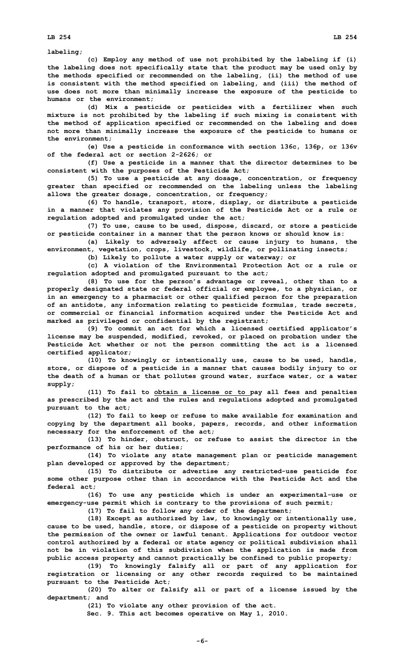**labeling;**

**(c) Employ any method of use not prohibited by the labeling if (i) the labeling does not specifically state that the product may be used only by the methods specified or recommended on the labeling, (ii) the method of use is consistent with the method specified on labeling, and (iii) the method of use does not more than minimally increase the exposure of the pesticide to humans or the environment;**

**(d) Mix <sup>a</sup> pesticide or pesticides with <sup>a</sup> fertilizer when such mixture is not prohibited by the labeling if such mixing is consistent with the method of application specified or recommended on the labeling and does not more than minimally increase the exposure of the pesticide to humans or the environment;**

**(e) Use <sup>a</sup> pesticide in conformance with section 136c, 136p, or 136v of the federal act or section 2-2626; or**

**(f) Use <sup>a</sup> pesticide in <sup>a</sup> manner that the director determines to be consistent with the purposes of the Pesticide Act;**

**(5) To use <sup>a</sup> pesticide at any dosage, concentration, or frequency greater than specified or recommended on the labeling unless the labeling allows the greater dosage, concentration, or frequency;**

**(6) To handle, transport, store, display, or distribute <sup>a</sup> pesticide in <sup>a</sup> manner that violates any provision of the Pesticide Act or <sup>a</sup> rule or regulation adopted and promulgated under the act;**

**(7) To use, cause to be used, dispose, discard, or store <sup>a</sup> pesticide or pesticide container in <sup>a</sup> manner that the person knows or should know is:**

**(a) Likely to adversely affect or cause injury to humans, the environment, vegetation, crops, livestock, wildlife, or pollinating insects;**

**(b) Likely to pollute <sup>a</sup> water supply or waterway; or**

**(c) A violation of the Environmental Protection Act or <sup>a</sup> rule or regulation adopted and promulgated pursuant to the act;**

**(8) To use for the person's advantage or reveal, other than to <sup>a</sup> properly designated state or federal official or employee, to <sup>a</sup> physician, or in an emergency to <sup>a</sup> pharmacist or other qualified person for the preparation of an antidote, any information relating to pesticide formulas, trade secrets, or commercial or financial information acquired under the Pesticide Act and marked as privileged or confidential by the registrant;**

**(9) To commit an act for which <sup>a</sup> licensed certified applicator's license may be suspended, modified, revoked, or placed on probation under the Pesticide Act whether or not the person committing the act is <sup>a</sup> licensed certified applicator;**

**(10) To knowingly or intentionally use, cause to be used, handle, store, or dispose of <sup>a</sup> pesticide in <sup>a</sup> manner that causes bodily injury to or the death of <sup>a</sup> human or that pollutes ground water, surface water, or <sup>a</sup> water supply;**

**(11) To fail to obtain <sup>a</sup> license or to pay all fees and penalties as prescribed by the act and the rules and regulations adopted and promulgated pursuant to the act;**

**(12) To fail to keep or refuse to make available for examination and copying by the department all books, papers, records, and other information necessary for the enforcement of the act;**

**(13) To hinder, obstruct, or refuse to assist the director in the performance of his or her duties;**

**(14) To violate any state management plan or pesticide management plan developed or approved by the department;**

**(15) To distribute or advertise any restricted-use pesticide for some other purpose other than in accordance with the Pesticide Act and the federal act;**

**(16) To use any pesticide which is under an experimental-use or emergency-use permit which is contrary to the provisions of such permit;**

**(17) To fail to follow any order of the department;**

**(18) Except as authorized by law, to knowingly or intentionally use, cause to be used, handle, store, or dispose of <sup>a</sup> pesticide on property without the permission of the owner or lawful tenant. Applications for outdoor vector control authorized by <sup>a</sup> federal or state agency or political subdivision shall not be in violation of this subdivision when the application is made from public access property and cannot practically be confined to public property;**

**(19) To knowingly falsify all or part of any application for registration or licensing or any other records required to be maintained pursuant to the Pesticide Act;**

**(20) To alter or falsify all or part of <sup>a</sup> license issued by the department; and**

**(21) To violate any other provision of the act.**

**Sec. 9. This act becomes operative on May 1, 2010.**